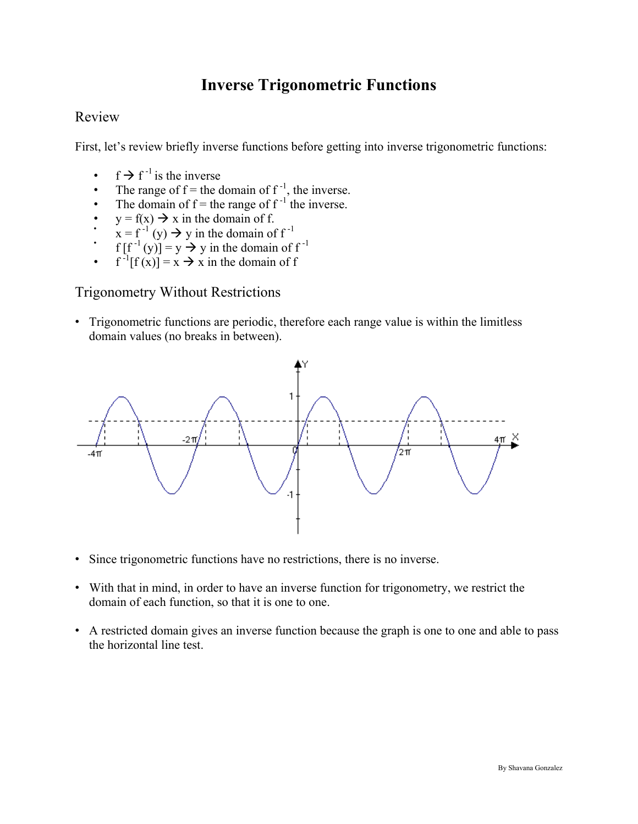## **Inverse Trigonometric Functions**

#### Review

First, let's review briefly inverse functions before getting into inverse trigonometric functions:

- $f \rightarrow f^{-1}$  is the inverse
- The range of  $f =$  the domain of  $f^{-1}$ , the inverse.
- The domain of  $f =$  the range of  $f^{-1}$  the inverse.<br>•  $y = f(x) \rightarrow x$  in the domain of f.
- 
- $\mathbf{x} = \mathbf{f}^{-1}(\mathbf{y}) \rightarrow \mathbf{y}$  in the domain of  $\mathbf{f}^{-1}$
- $f[f^{-1}(y)] = y \rightarrow y$  in the domain of  $f^{-1}$
- $f^{-1}[f(x)] = x \rightarrow x$  in the domain of f

Trigonometry Without Restrictions

• Trigonometric functions are periodic, therefore each range value is within the limitless domain values (no breaks in between).



- Since trigonometric functions have no restrictions, there is no inverse.
- With that in mind, in order to have an inverse function for trigonometry, we restrict the domain of each function, so that it is one to one.
- A restricted domain gives an inverse function because the graph is one to one and able to pass the horizontal line test.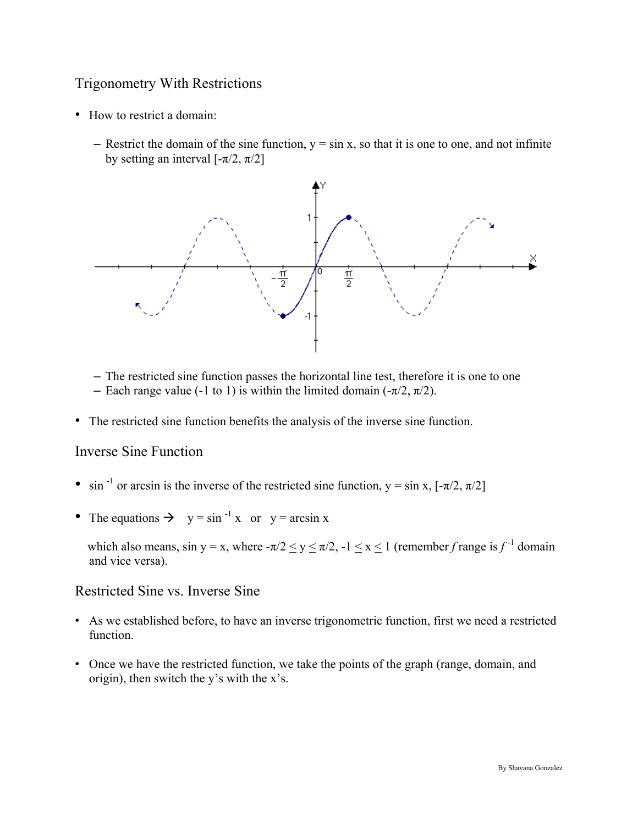## Trigonometry With Restrictions

- How to restrict a domain:
	- Restrict the domain of the sine function,  $y = \sin x$ , so that it is one to one, and not infinite by setting an interval  $[-\pi/2, \pi/2]$



- The restricted sine function passes the horizontal line test, therefore it is one to one
- Each range value (-1 to 1) is within the limited domain (- $\pi/2$ ,  $\pi/2$ ).
- The restricted sine function benefits the analysis of the inverse sine function.

#### Inverse Sine Function

- sin<sup>-1</sup> or arcsin is the inverse of the restricted sine function,  $y = \sin x$ ,  $[-\pi/2, \pi/2]$
- The equations  $\rightarrow y = \sin^{-1} x$  or  $y = \arcsin x$

which also means, sin y = x, where  $-\pi/2 \le y \le \pi/2$ ,  $-1 \le x \le 1$  (remember f range is f<sup>-1</sup> domain and vice versa).

#### Restricted Sine vs. Inverse Sine

- As we established before, to have an inverse trigonometric function, first we need a restricted function.
- Once we have the restricted function, we take the points of the graph (range, domain, and origin), then switch the y's with the x's.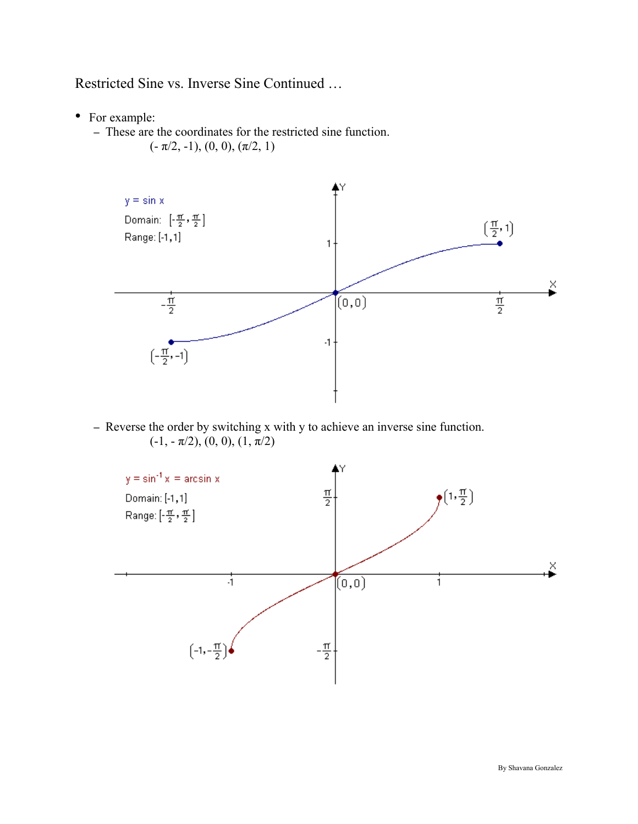Restricted Sine vs. Inverse Sine Continued …

- For example:
	- These are the coordinates for the restricted sine function.  $(-\pi/2, -1), (0, 0), (\pi/2, 1)$



– Reverse the order by switching x with y to achieve an inverse sine function.  $(-1, -\pi/2), (0, 0), (1, \pi/2)$ 

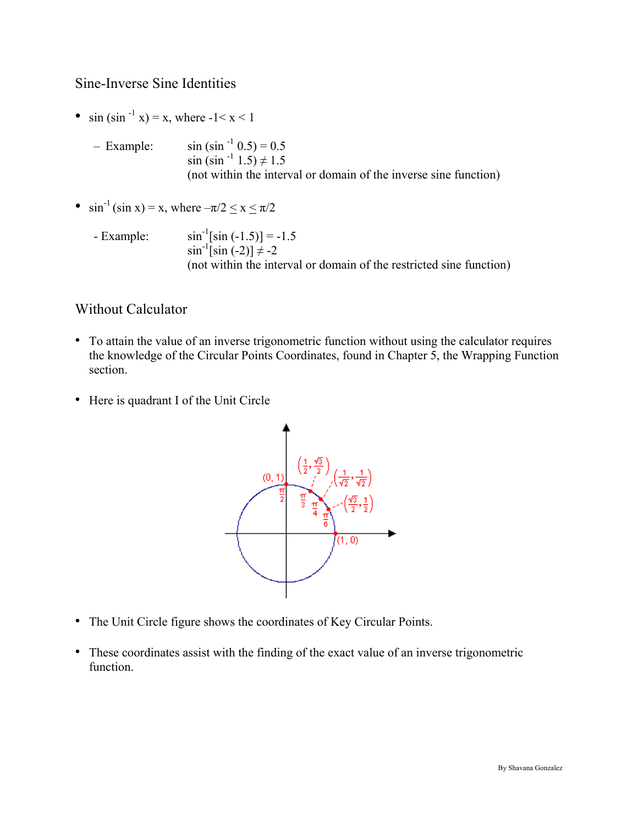## Sine-Inverse Sine Identities

- $\sin (\sin^{-1} x) = x$ , where  $-1 < x < 1$ 
	- Example: sin (sin<sup>-1</sup> 0.5) = 0.5  $\sin (\sin^{-1} 1.5) \neq 1.5$ (not within the interval or domain of the inverse sine function)
- $\sin^{-1}(\sin x) = x$ , where  $-\pi/2 < x < \pi/2$

| - Example: | $\sin^{-1}[\sin(-1.5)] = -1.5$                                      |
|------------|---------------------------------------------------------------------|
|            | $\sin^{-1}[\sin(-2)] \neq -2$                                       |
|            | (not within the interval or domain of the restricted sine function) |

#### Without Calculator

- To attain the value of an inverse trigonometric function without using the calculator requires the knowledge of the Circular Points Coordinates, found in Chapter 5, the Wrapping Function section.
- Here is quadrant I of the Unit Circle



- The Unit Circle figure shows the coordinates of Key Circular Points.
- These coordinates assist with the finding of the exact value of an inverse trigonometric function.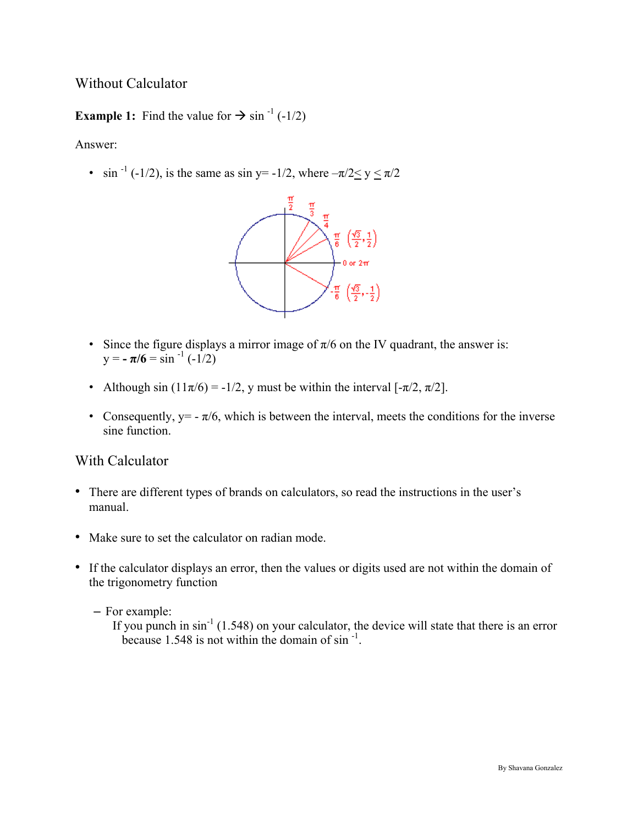#### Without Calculator

## **Example 1:** Find the value for  $\rightarrow$  sin<sup>-1</sup> (-1/2)

Answer:

• sin<sup>-1</sup> (-1/2), is the same as sin y= -1/2, where  $-\pi/2 < y < \pi/2$ 



- Since the figure displays a mirror image of  $\pi/6$  on the IV quadrant, the answer is:  $y = -\pi/6 = \sin^{-1}(-1/2)$
- Although sin (11 $\pi/6$ ) = -1/2, y must be within the interval [- $\pi/2$ ,  $\pi/2$ ].
- Consequently,  $y = -\pi/6$ , which is between the interval, meets the conditions for the inverse sine function.

#### With Calculator

- There are different types of brands on calculators, so read the instructions in the user's manual.
- Make sure to set the calculator on radian mode.
- If the calculator displays an error, then the values or digits used are not within the domain of the trigonometry function
	- For example:

If you punch in  $sin^{-1}(1.548)$  on your calculator, the device will state that there is an error because 1.548 is not within the domain of  $\sin^{-1}$ .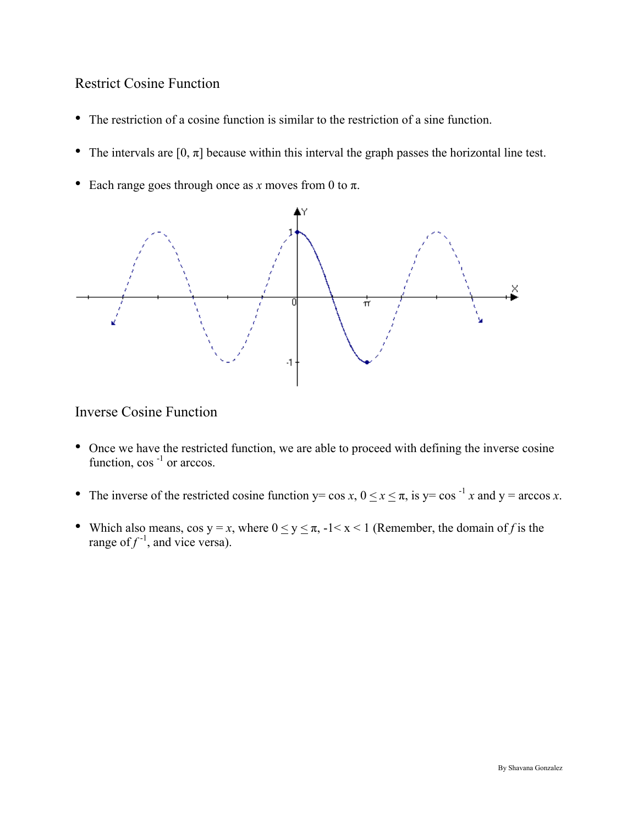## Restrict Cosine Function

- The restriction of a cosine function is similar to the restriction of a sine function.
- The intervals are  $[0, \pi]$  because within this interval the graph passes the horizontal line test.
- Each range goes through once as *x* moves from 0 to π.



### Inverse Cosine Function

- Once we have the restricted function, we are able to proceed with defining the inverse cosine function,  $\cos^{-1}$  or arccos.
- The inverse of the restricted cosine function  $y = \cos x$ ,  $0 \le x \le \pi$ , is  $y = \cos^{-1} x$  and  $y = \arccos x$ .
- Which also means,  $\cos y = x$ , where  $0 \le y \le \pi$ ,  $-1 < x < 1$  (Remember, the domain of *f* is the range of  $f^{-1}$ , and vice versa).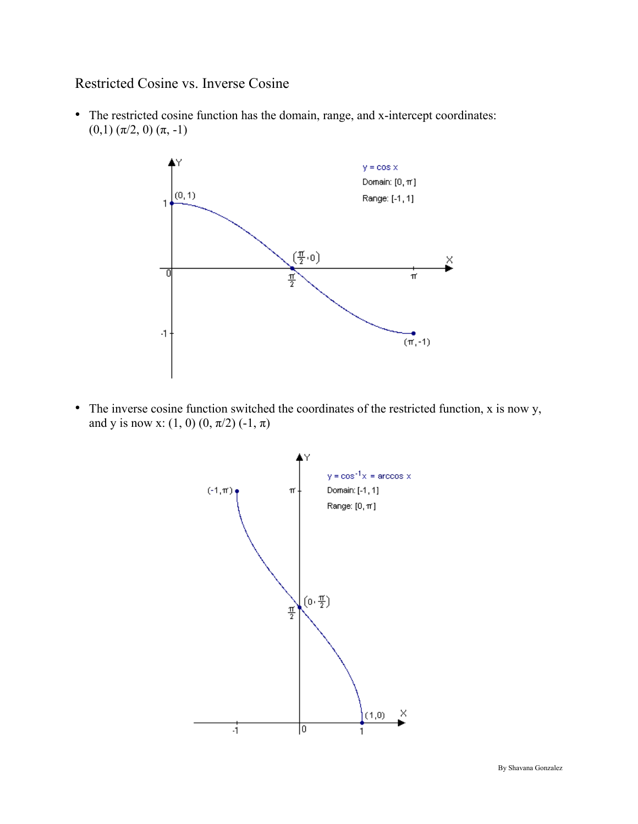Restricted Cosine vs. Inverse Cosine

• The restricted cosine function has the domain, range, and x-intercept coordinates: (0,1)  $(π/2, 0) (π, -1)$ 



• The inverse cosine function switched the coordinates of the restricted function, x is now y, and y is now x:  $(1, 0)$   $(0, \pi/2)$   $(-1, \pi)$ 

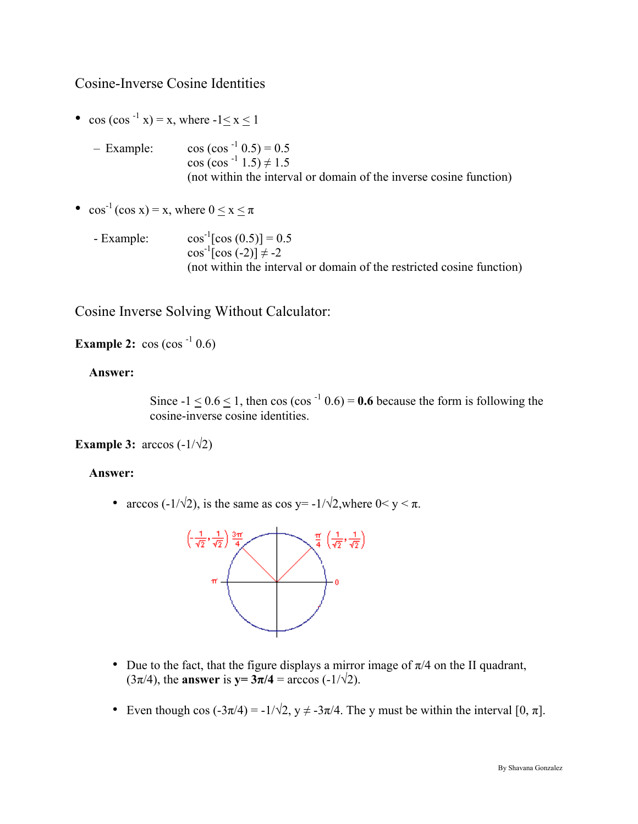#### Cosine-Inverse Cosine Identities

• 
$$
\cos(\cos^{-1} x) = x
$$
, where  $-1 \le x \le 1$ 

- Example:  $\cos (\cos^{-1} 0.5) = 0.5$  $\cos (\cos^{-1} 1.5) \neq 1.5$ (not within the interval or domain of the inverse cosine function)
- $\cos^{-1}(\cos x) = x$ , where  $0 \le x \le \pi$

| - Example: | $\cos^{-1}[\cos(0.5)] = 0.5$                                          |
|------------|-----------------------------------------------------------------------|
|            | $\cos^{-1}[\cos(-2)] \neq -2$                                         |
|            | (not within the interval or domain of the restricted cosine function) |

Cosine Inverse Solving Without Calculator:

**Example 2:**  $\cos(\cos^{-1} 0.6)$ 

#### **Answer:**

Since  $-1 \le 0.6 \le 1$ , then cos (cos<sup>-1</sup> 0.6) = **0.6** because the form is following the cosine-inverse cosine identities.

**Example 3:**  $\arccos(-1/\sqrt{2})$ 

#### **Answer:**

• arccos (-1/ $\sqrt{2}$ ), is the same as cos y= -1/ $\sqrt{2}$ , where  $0 < y < \pi$ .



- Due to the fact, that the figure displays a mirror image of  $\pi/4$  on the II quadrant, (3 $\pi$ /4), the **answer** is **y** =  $3\pi$ /4 = arccos (-1/ $\sqrt{2}$ ).
- Even though cos  $(-3\pi/4) = -1/\sqrt{2}$ ,  $y \neq -3\pi/4$ . The y must be within the interval  $[0, \pi]$ .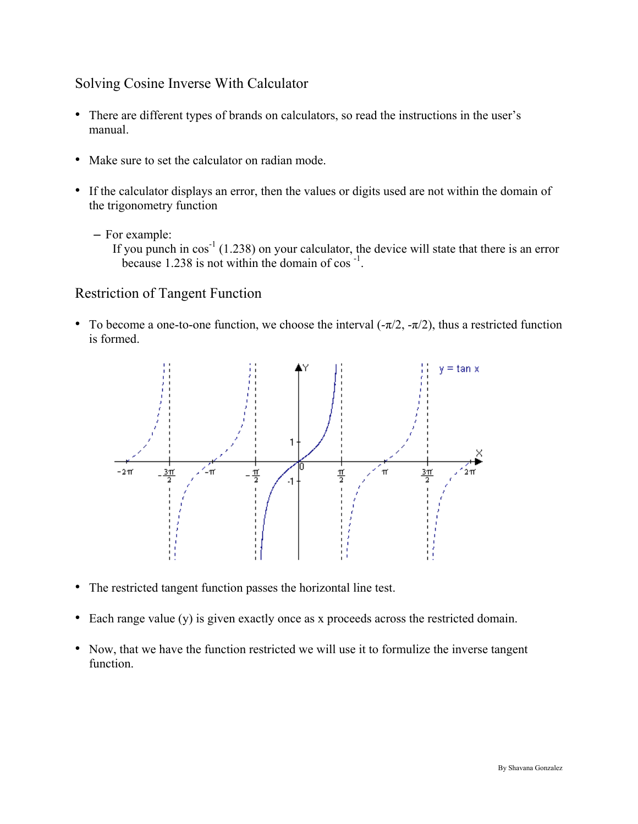#### Solving Cosine Inverse With Calculator

- There are different types of brands on calculators, so read the instructions in the user's manual.
- Make sure to set the calculator on radian mode.
- If the calculator displays an error, then the values or digits used are not within the domain of the trigonometry function
	- For example:

If you punch in  $cos^{-1}(1.238)$  on your calculator, the device will state that there is an error because 1.238 is not within the domain of cos -1.

### Restriction of Tangent Function

• To become a one-to-one function, we choose the interval  $(-\pi/2, -\pi/2)$ , thus a restricted function is formed.



- The restricted tangent function passes the horizontal line test.
- Each range value (y) is given exactly once as x proceeds across the restricted domain.
- Now, that we have the function restricted we will use it to formulize the inverse tangent function.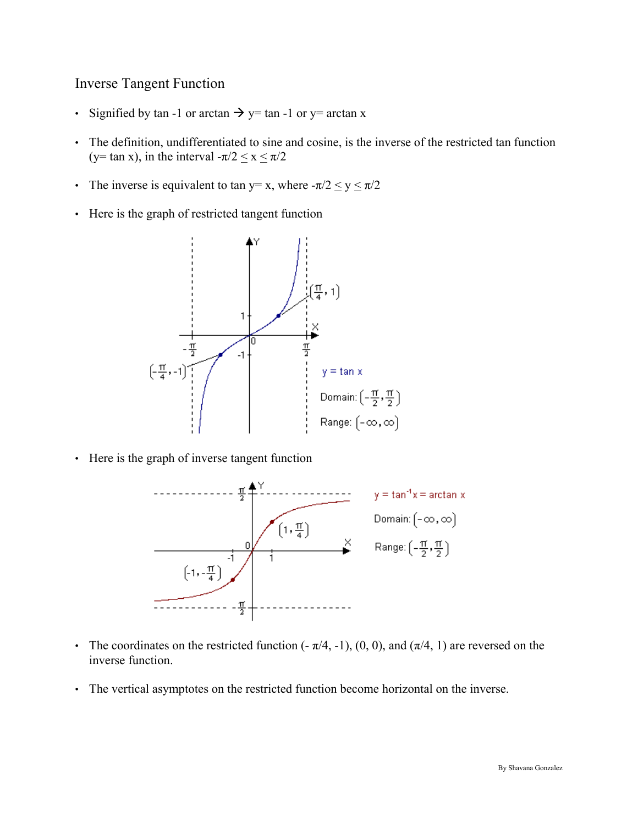#### Inverse Tangent Function

- Signified by tan -1 or arctan  $\rightarrow$  y= tan -1 or y= arctan x
- The definition, undifferentiated to sine and cosine, is the inverse of the restricted tan function (y= tan x), in the interval  $-\pi/2 \le x \le \pi/2$
- The inverse is equivalent to tan y= x, where  $-\pi/2 \le y \le \pi/2$
- Here is the graph of restricted tangent function



• Here is the graph of inverse tangent function



- The coordinates on the restricted function  $(-\pi/4, -1)$ ,  $(0, 0)$ , and  $(\pi/4, 1)$  are reversed on the inverse function.
- The vertical asymptotes on the restricted function become horizontal on the inverse.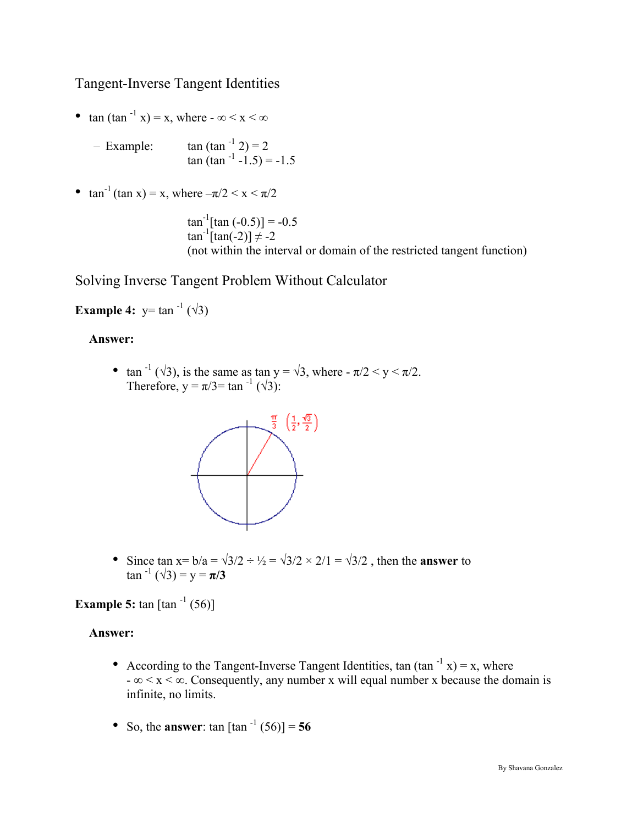## Tangent-Inverse Tangent Identities

• tan (tan<sup>-1</sup> x) = x, where -  $\infty < x < \infty$ 

- Example:  $\tan (\tan^{-1} 2) = 2$  $\tan (\tan^{-1} -1.5) = -1.5$ 

•  $\tan^{-1}(\tan x) = x$ , where  $-\pi/2 < x < \pi/2$ 

 $tan^{-1}[tan(-0.5)] = -0.5$  $\tan^{-1}$ [tan(-2)]  $\neq$  -2 (not within the interval or domain of the restricted tangent function)

Solving Inverse Tangent Problem Without Calculator

**Example 4:**  $y=$  tan <sup>-1</sup> ( $\sqrt{3}$ )

#### **Answer:**

• tan <sup>-1</sup> ( $\sqrt{3}$ ), is the same as tan y =  $\sqrt{3}$ , where -  $\pi/2 < y < \pi/2$ . Therefore,  $y = \pi/3 = \tan^{-1}(\sqrt{3})$ :



• Since tan  $x = b/a = \sqrt{3}/2 \div \sqrt{3} = \sqrt{3}/2 \times 2/1 = \sqrt{3}/2$ , then the **answer** to tan  $^{-1} (\sqrt{3}) = y = \pi/3$ 

**Example 5:**  $\tan \left[ \tan^{-1} (56) \right]$ 

#### **Answer:**

- According to the Tangent-Inverse Tangent Identities,  $\tan (\tan^{-1} x) = x$ , where  $-\infty < x < \infty$ . Consequently, any number x will equal number x because the domain is infinite, no limits.
- So, the **answer**:  $\tan \left[ \tan^{-1} (56) \right] = 56$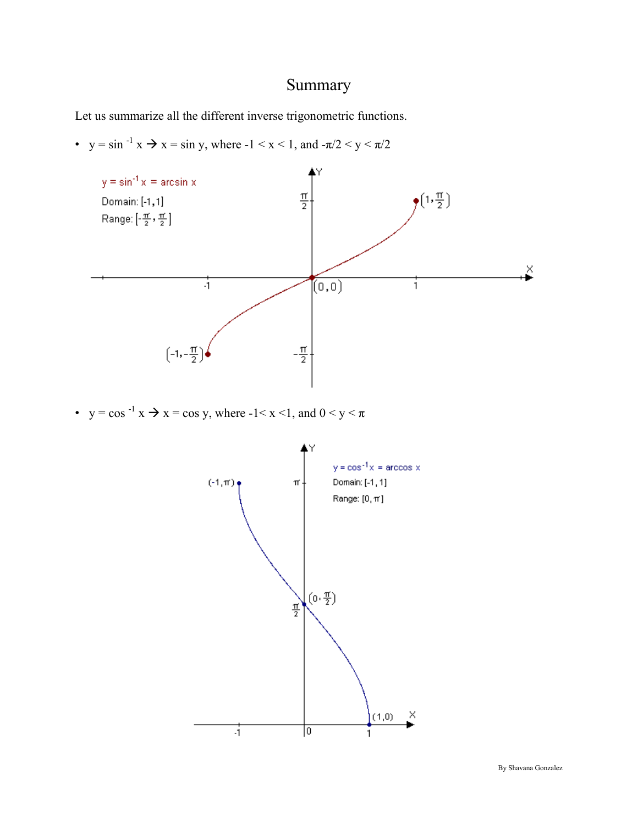# Summary

Let us summarize all the different inverse trigonometric functions.

•  $y = \sin^{-1} x \rightarrow x = \sin y$ , where  $-1 \le x \le 1$ , and  $-\pi/2 \le y \le \pi/2$ 



•  $y = cos^{-1} x \rightarrow x = cos y$ , where  $-1 < x < 1$ , and  $0 < y < \pi$